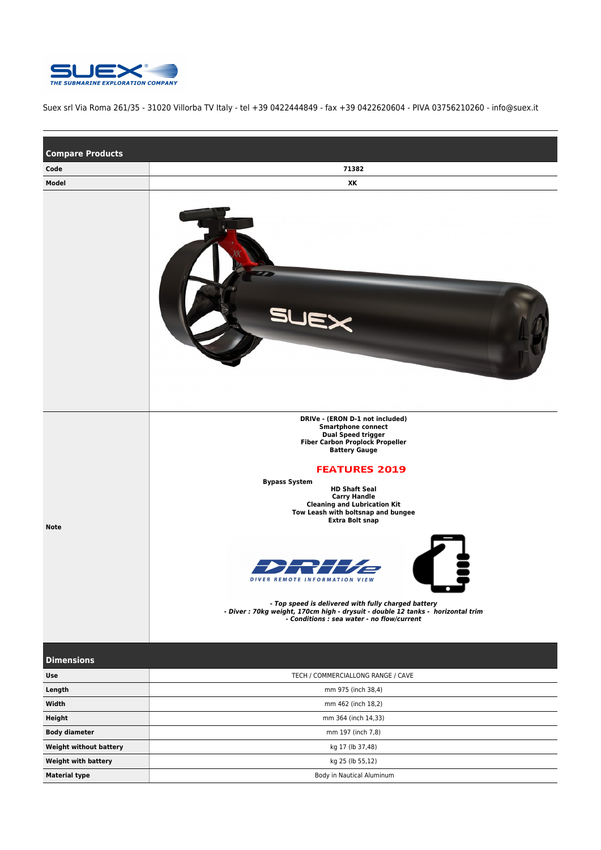

Suex srl Via Roma 261/35 - 31020 Villorba TV Italy - tel +39 0422444849 - fax +39 0422620604 - PIVA 03756210260 - info@suex.it

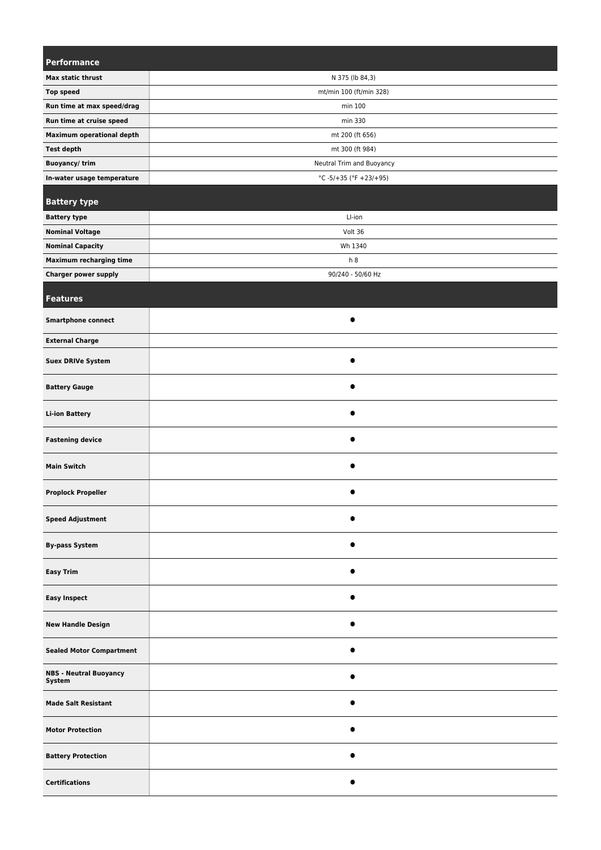| Performance                             |                            |
|-----------------------------------------|----------------------------|
| Max static thrust                       | N 375 (lb 84,3)            |
| <b>Top speed</b>                        | mt/min 100 (ft/min 328)    |
| Run time at max speed/drag              | min 100                    |
| Run time at cruise speed                | min 330                    |
| <b>Maximum operational depth</b>        | mt 200 (ft 656)            |
| <b>Test depth</b>                       | mt 300 (ft 984)            |
| <b>Buoyancy/trim</b>                    | Neutral Trim and Buoyancy  |
| In-water usage temperature              | $°C -5/ +35 (°F +23/ +95)$ |
| <b>Battery type</b>                     |                            |
| <b>Battery type</b>                     | LI-ion                     |
| <b>Nominal Voltage</b>                  | Volt 36                    |
| <b>Nominal Capacity</b>                 | Wh 1340                    |
| Maximum recharging time                 | h8                         |
| <b>Charger power supply</b>             | 90/240 - 50/60 Hz          |
|                                         |                            |
| <b>Features</b>                         |                            |
| <b>Smartphone connect</b>               |                            |
| <b>External Charge</b>                  |                            |
| <b>Suex DRIVe System</b>                | $\bullet$                  |
| <b>Battery Gauge</b>                    |                            |
| <b>Li-ion Battery</b>                   | $\bullet$                  |
| <b>Fastening device</b>                 |                            |
| <b>Main Switch</b>                      |                            |
| <b>Proplock Propeller</b>               |                            |
| <b>Speed Adjustment</b>                 | $\bullet$                  |
| <b>By-pass System</b>                   | $\bullet$                  |
| <b>Easy Trim</b>                        | ●                          |
| <b>Easy Inspect</b>                     |                            |
| <b>New Handle Design</b>                | $\bullet$                  |
| <b>Sealed Motor Compartment</b>         | $\bullet$                  |
| <b>NBS - Neutral Buoyancy</b><br>System | ●                          |
| <b>Made Salt Resistant</b>              | $\bullet$                  |
| <b>Motor Protection</b>                 | $\bullet$                  |
| <b>Battery Protection</b>               |                            |
| <b>Certifications</b>                   | $\bullet$                  |